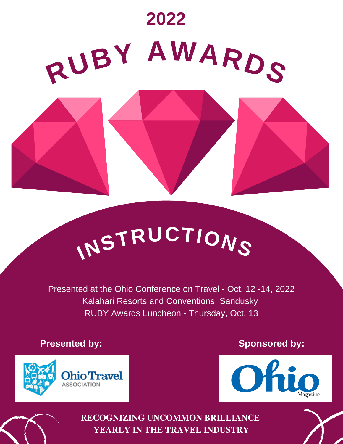

# **<sup>I</sup>NSTRUCTION<sup>S</sup>**

Presented at the Ohio Conference on Travel - Oct. 12 -14, 2022 Kalahari Resorts and Conventions, Sandusky RUBY Awards Luncheon - Thursday, Oct. 13

**Presented by: Sponsored by: Sponsored by: Sponsored by:** 





**RECOGNIZING UNCOMMON BRILLIANCE YEARLY IN THE TRAVEL INDUSTRY**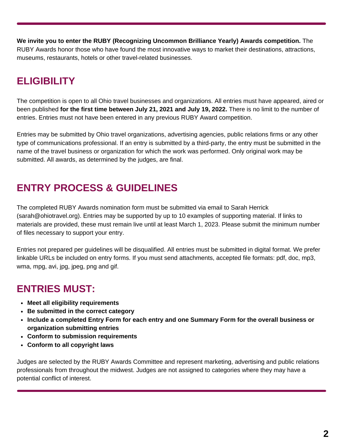**We invite you to enter the RUBY (Recognizing Uncommon Brilliance Yearly) Awards competition.** The RUBY Awards honor those who have found the most innovative ways to market their destinations, attractions, museums, restaurants, hotels or other travel-related businesses.

# **ELIGIBILITY**

The competition is open to all Ohio travel businesses and organizations. All entries must have appeared, aired or been published **for the first time between July 21, 2021 and July 19, 2022.** There is no limit to the number of entries. Entries must not have been entered in any previous RUBY Award competition.

Entries may be submitted by Ohio travel organizations, advertising agencies, public relations firms or any other type of communications professional. If an entry is submitted by a third-party, the entry must be submitted in the name of the travel business or organization for which the work was performed. Only original work may be submitted. All awards, as determined by the judges, are final.

# **ENTRY PROCESS & GUIDELINES**

The completed RUBY Awards nomination form must be submitted via email to Sarah Herrick (sarah@ohiotravel.org). Entries may be supported by up to 10 examples of supporting material. If links to materials are provided, these must remain live until at least March 1, 2023. Please submit the minimum number of files necessary to support your entry.

Entries not prepared per guidelines will be disqualified. All entries must be submitted in digital format. We prefer linkable URLs be included on entry forms. If you must send attachments, accepted file formats: pdf, doc, mp3, wma, mpg, avi, jpg, jpeg, png and gif.

## **ENTRIES MUST:**

- **Meet all eligibility requirements**
- **Be submitted in the correct category**
- **Include a completed Entry Form for each entry and one Summary Form for the overall business or organization submitting entries**
- **Conform to submission requirements**
- **Conform to all copyright laws**

Judges are selected by the RUBY Awards Committee and represent marketing, advertising and public relations professionals from throughout the midwest. Judges are not assigned to categories where they may have a potential conflict of interest.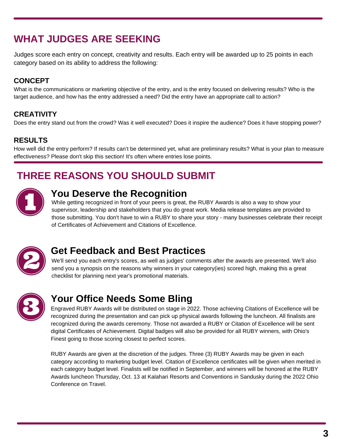# **WHAT JUDGES ARE SEEKING**

Judges score each entry on concept, creativity and results. Each entry will be awarded up to 25 points in each category based on its ability to address the following:

#### **CONCEPT**

What is the communications or marketing objective of the entry, and is the entry focused on delivering results? Who is the target audience, and how has the entry addressed a need? Did the entry have an appropriate call to action?

#### **CREATIVITY**

Does the entry stand out from the crowd? Was it well executed? Does it inspire the audience? Does it have stopping power?

#### **RESULTS**

How well did the entry perform? If results can't be determined yet, what are preliminary results? What is your plan to measure effectiveness? Please don't skip this section! It's often where entries lose points.

# **THREE REASONS YOU SHOULD SUBMIT**



## **You Deserve the Recognition**

While getting recognized in front of your peers is great, the RUBY Awards is also a way to show your supervisor, leadership and stakeholders that you do great work. Media release templates are provided to those submitting. You don't have to win a RUBY to share your story - many businesses celebrate their receipt of Certificates of Achievement and Citations of Excellence.



## **Get Feedback and Best Practices**

We'll send you each entry's scores, as well as judges' comments after the awards are presented. We'll also send you a synopsis on the reasons why winners in your category(ies) scored high, making this a great checklist for planning next year's promotional materials.



## **Your Office Needs Some Bling**

Engraved RUBY Awards will be distributed on stage in 2022. Those achieving Citations of Excellence will be recognized during the presentation and can pick up physical awards following the luncheon. All finalists are recognized during the awards ceremony. Those not awarded a RUBY or Citation of Excellence will be sent digital Certificates of Achievement. Digital badges will also be provided for all RUBY winners, with Ohio's Finest going to those scoring closest to perfect scores.

RUBY Awards are given at the discretion of the judges. Three (3) RUBY Awards may be given in each category according to marketing budget level. Citation of Excellence certificates will be given when merited in each category budget level. Finalists will be notified in September, and winners will be honored at the RUBY Awards luncheon Thursday, Oct. 13 at Kalahari Resorts and Conventions in Sandusky during the 2022 Ohio Conference on Travel.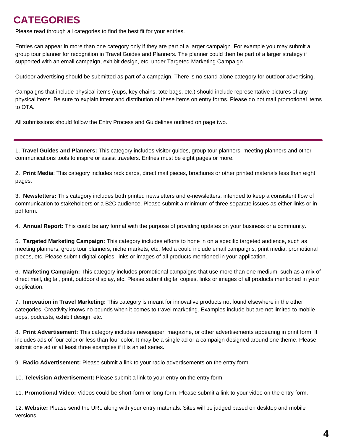## **CATEGORIES**

Please read through all categories to find the best fit for your entries.

Entries can appear in more than one category only if they are part of a larger campaign. For example you may submit a group tour planner for recognition in Travel Guides and Planners. The planner could then be part of a larger strategy if supported with an email campaign, exhibit design, etc. under Targeted Marketing Campaign.

Outdoor advertising should be submitted as part of a campaign. There is no stand-alone category for outdoor advertising.

Campaigns that include physical items (cups, key chains, tote bags, etc.) should include representative pictures of any physical items. Be sure to explain intent and distribution of these items on entry forms. Please do not mail promotional items to OTA.

All submissions should follow the Entry Process and Guidelines outlined on page two.

1. **Travel Guides and Planners:** This category includes visitor guides, group tour planners, meeting planners and other communications tools to inspire or assist travelers. Entries must be eight pages or more.

2. **Print Media**: This category includes rack cards, direct mail pieces, brochures or other printed materials less than eight pages.

3. **Newsletters:** This category includes both printed newsletters and e-newsletters, intended to keep a consistent flow of communication to stakeholders or a B2C audience. Please submit a minimum of three separate issues as either links or in pdf form.

4. **Annual Report:** This could be any format with the purpose of providing updates on your business or a community.

5. **Targeted Marketing Campaign:** This category includes efforts to hone in on a specific targeted audience, such as meeting planners, group tour planners, niche markets, etc. Media could include email campaigns, print media, promotional pieces, etc. Please submit digital copies, links or images of all products mentioned in your application.

6. **Marketing Campaign:** This category includes promotional campaigns that use more than one medium, such as a mix of direct mail, digital, print, outdoor display, etc. Please submit digital copies, links or images of all products mentioned in your application.

7. **Innovation in Travel Marketing:** This category is meant for innovative products not found elsewhere in the other categories. Creativity knows no bounds when it comes to travel marketing. Examples include but are not limited to mobile apps, podcasts, exhibit design, etc.

8. **Print Advertisement:** This category includes newspaper, magazine, or other advertisements appearing in print form. It includes ads of four color or less than four color. It may be a single ad or a campaign designed around one theme. Please submit one ad or at least three examples if it is an ad series.

9. **Radio Advertisement:** Please submit a link to your radio advertisements on the entry form.

10. **Television Advertisement:** Please submit a link to your entry on the entry form.

11. **Promotional Video:** Videos could be short-form or long-form. Please submit a link to your video on the entry form.

12. **Website:** Please send the URL along with your entry materials. Sites will be judged based on desktop and mobile versions.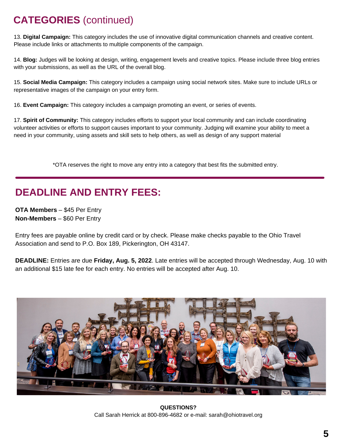# **CATEGORIES** (continued)

13. **Digital Campaign:** This category includes the use of innovative digital communication channels and creative content. Please include links or attachments to multiple components of the campaign.

14. **Blog:** Judges will be looking at design, writing, engagement levels and creative topics. Please include three blog entries with your submissions, as well as the URL of the overall blog.

15. **Social Media Campaign:** This category includes a campaign using social network sites. Make sure to include URLs or representative images of the campaign on your entry form.

16. **Event Campaign:** This category includes a campaign promoting an event, or series of events.

17. **Spirit of Community:** This category includes efforts to support your local community and can include coordinating volunteer activities or efforts to support causes important to your community. Judging will examine your ability to meet a need in your community, using assets and skill sets to help others, as well as design of any support material

\*OTA reserves the right to move any entry into a category that best fits the submitted entry.

## **DEADLINE AND ENTRY FEES:**

**OTA Members** – \$45 Per Entry **Non-Members** – \$60 Per Entry

Entry fees are payable online by credit card or by check. Please make checks payable to the Ohio Travel Association and send to P.O. Box 189, Pickerington, OH 43147.

**DEADLINE:** Entries are due **Friday, Aug. 5, 2022**. Late entries will be accepted through Wednesday, Aug. 10 with an additional \$15 late fee for each entry. No entries will be accepted after Aug. 10.



**QUESTIONS?** Call Sarah Herrick at 800-896-4682 or e-mail: sarah@ohiotravel.org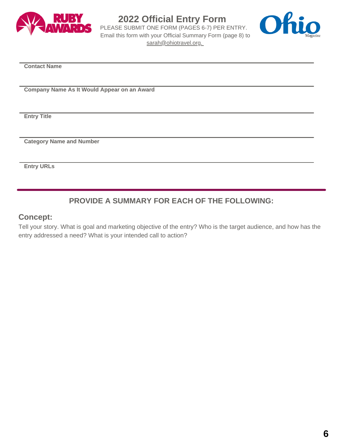

#### **2022 Official Entry Form**

PLEASE SUBMIT ONE FORM (PAGES 6-7) PER ENTRY. Email this form with your Official Summary Form (page 8) to [sarah@ohiotravel.org.](mailto:sarah@ohiotravel.org)



**Contact Name**

**Company Name As It Would Appear on an Award**

**Entry Title**

**Category Name and Number**

**Entry URLs**

#### **PROVIDE A SUMMARY FOR EACH OF THE FOLLOWING:**

#### **Concept:**

Tell your story. What is goal and marketing objective of the entry? Who is the target audience, and how has the entry addressed a need? What is your intended call to action?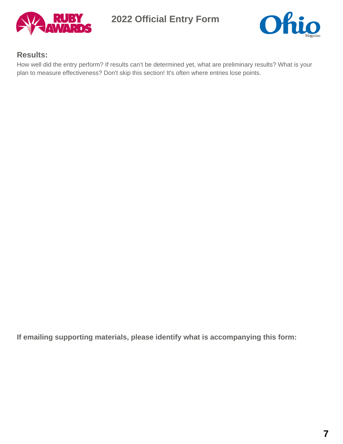

**2022 Official Entry Form**



#### **Results:**

How well did the entry perform? If results can't be determined yet, what are preliminary results? What is your plan to measure effectiveness? Don't skip this section! It's often where entries lose points.

**If emailing supporting materials, please identify what is accompanying this form:**